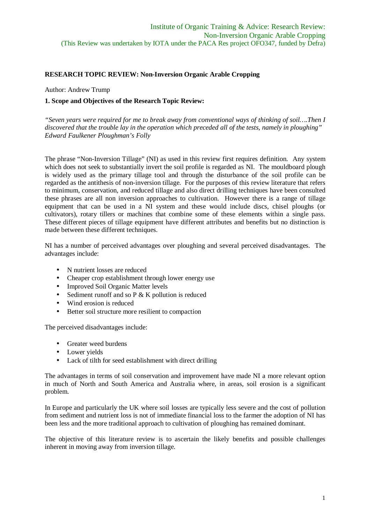## **RESEARCH TOPIC REVIEW: Non-Inversion Organic Arable Cropping**

Author: Andrew Trump

#### **1. Scope and Objectives of the Research Topic Review:**

*"Seven years were required for me to break away from conventional ways of thinking of soil….Then I discovered that the trouble lay in the operation which preceded all of the tests, namely in ploughing" Edward Faulkener Ploughman's Folly*

The phrase "Non-Inversion Tillage" (NI) as used in this review first requires definition. Any system which does not seek to substantially invert the soil profile is regarded as NI. The mouldboard plough is widely used as the primary tillage tool and through the disturbance of the soil profile can be regarded as the antithesis of non-inversion tillage. For the purposes of this review literature that refers to minimum, conservation, and reduced tillage and also direct drilling techniques have been consulted these phrases are all non inversion approaches to cultivation. However there is a range of tillage equipment that can be used in a NI system and these would include discs, chisel ploughs (or cultivators), rotary tillers or machines that combine some of these elements within a single pass. These different pieces of tillage equipment have different attributes and benefits but no distinction is made between these different techniques.

NI has a number of perceived advantages over ploughing and several perceived disadvantages. The advantages include:

- N nutrient losses are reduced
- Cheaper crop establishment through lower energy use
- Improved Soil Organic Matter levels
- Sediment runoff and so  $P \& K$  pollution is reduced
- Wind erosion is reduced
- Better soil structure more resilient to compaction

The perceived disadvantages include:

- Greater weed burdens
- Lower vields
- Lack of tilth for seed establishment with direct drilling

The advantages in terms of soil conservation and improvement have made NI a more relevant option in much of North and South America and Australia where, in areas, soil erosion is a significant problem.

In Europe and particularly the UK where soil losses are typically less severe and the cost of pollution from sediment and nutrient loss is not of immediate financial loss to the farmer the adoption of NI has been less and the more traditional approach to cultivation of ploughing has remained dominant.

The objective of this literature review is to ascertain the likely benefits and possible challenges inherent in moving away from inversion tillage.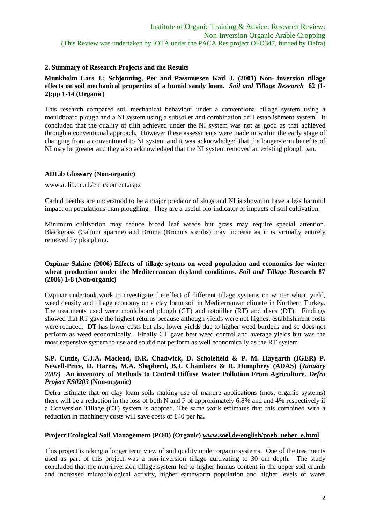## **2. Summary of Research Projects and the Results**

## **Munkholm Lars J.; Schjonning, Per and Passmussen Karl J. (2001) Non- inversion tillage effects on soil mechanical properties of a humid sandy loam.** *Soil and Tillage Research* **62 (1- 2):pp 1-14 (Organic)**

This research compared soil mechanical behaviour under a conventional tillage system using a mouldboard plough and a NI system using a subsoiler and combination drill establishment system. It concluded that the quality of tilth achieved under the NI system was not as good as that achieved through a conventional approach. However these assessments were made in within the early stage of changing from a conventional to NI system and it was acknowledged that the longer-term benefits of NI may be greater and they also acknowledged that the NI system removed an existing plough pan.

## **ADLib Glossary (Non-organic)**

www.adlib.ac.uk/ema/content.aspx

Carbid beetles are understood to be a major predator of slugs and NI is shown to have a less harmful impact on populations than ploughing. They are a useful bio-indicator of impacts of soil cultivation.

Minimum cultivation may reduce broad leaf weeds but grass may require special attention. Blackgrass (Galium aparine) and Brome (Bromus sterilis) may increase as it is virtually entirely removed by ploughing.

## **Ozpinar Sakine (2006) Effects of tillage sytems on weed population and economics for winter wheat production under the Mediterranean dryland conditions.** *Soil and Tillage* **Research 87 (2006) 1-8 (Non-organic)**

Ozpinar undertook work to investigate the effect of different tillage systems on winter wheat yield, weed density and tillage economy on a clay loam soil in Mediterranean climate in Northern Turkey. The treatments used were mouldboard plough (CT) and rototiller (RT) and discs (DT). Findings showed that RT gave the highest returns because although yields were not highest establishment costs were reduced. DT has lower costs but also lower yields due to higher weed burdens and so does not perform as weed economically. Finally CT gave best weed control and average yields but was the most expensive system to use and so did not perform as well economically as the RT system.

## **S.P. Cuttle, C.J.A. Macleod, D.R. Chadwick, D. Scholefield & P. M. Haygarth (IGER) P. Newell-Price, D. Harris, M.A. Shepherd, B.J. Chambers & R. Humphrey (ADAS) (***January 2007)* **An inventory of Methods to Control Diffuse Water Pollution From Agriculture.** *Defra Project ES0203* **(Non-organic)**

Defra estimate that on clay loam soils making use of manure applications (most organic systems) there will be a reduction in the loss of both N and P of approximately 6.8% and and 4% respectively if a Conversion Tillage (CT) system is adopted. The same work estimates that this combined with a reduction in machinery costs will save costs of £40 per ha**.**

#### **Project Ecological Soil Management (POB) (Organic) www.soel.de/english/poeb\_ueber\_e.html**

This project is taking a longer term view of soil quality under organic systems. One of the treatments used as part of this project was a non-inversion tillage cultivating to 30 cm depth. The study concluded that the non-inversion tillage system led to higher humus content in the upper soil crumb and increased microbiological activity, higher earthworm population and higher levels of water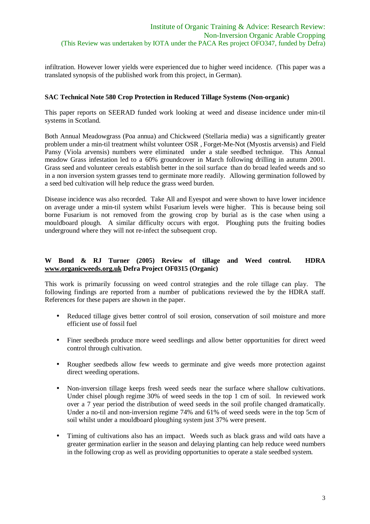infiltration. However lower yields were experienced due to higher weed incidence. (This paper was a translated synopsis of the published work from this project, in German).

#### **SAC Technical Note 580 Crop Protection in Reduced Tillage Systems (Non-organic)**

This paper reports on SEERAD funded work looking at weed and disease incidence under min-til systems in Scotland.

Both Annual Meadowgrass (Poa annua) and Chickweed (Stellaria media) was a significantly greater problem under a min-til treatment whilst volunteer OSR , Forget-Me-Not (Myostis arvensis) and Field Pansy (Viola arvensis) numbers were eliminated under a stale seedbed technique. This Annual meadow Grass infestation led to a 60% groundcover in March following drilling in autumn 2001. Grass seed and volunteer cereals establish better in the soil surface than do broad leafed weeds and so in a non inversion system grasses tend to germinate more readily. Allowing germination followed by a seed bed cultivation will help reduce the grass weed burden.

Disease incidence was also recorded. Take All and Eyespot and were shown to have lower incidence on average under a min-til system whilst Fusarium levels were higher. This is because being soil borne Fusarium is not removed from the growing crop by burial as is the case when using a mouldboard plough. A similar difficulty occurs with ergot. Ploughing puts the fruiting bodies underground where they will not re-infect the subsequent crop.

# **W Bond & RJ Turner (2005) Review of tillage and Weed control. HDRA www.organicweeds.org.uk Defra Project OF0315 (Organic)**

This work is primarily focussing on weed control strategies and the role tillage can play. The following findings are reported from a number of publications reviewed the by the HDRA staff. References for these papers are shown in the paper.

- Reduced tillage gives better control of soil erosion, conservation of soil moisture and more efficient use of fossil fuel
- Finer seedbeds produce more weed seedlings and allow better opportunities for direct weed control through cultivation.
- Rougher seedbeds allow few weeds to germinate and give weeds more protection against direct weeding operations.
- Non-inversion tillage keeps fresh weed seeds near the surface where shallow cultivations. Under chisel plough regime 30% of weed seeds in the top 1 cm of soil. In reviewed work over a 7 year period the distribution of weed seeds in the soil profile changed dramatically. Under a no-til and non-inversion regime 74% and 61% of weed seeds were in the top 5cm of soil whilst under a mouldboard ploughing system just 37% were present.
- Timing of cultivations also has an impact. Weeds such as black grass and wild oats have a greater germination earlier in the season and delaying planting can help reduce weed numbers in the following crop as well as providing opportunities to operate a stale seedbed system.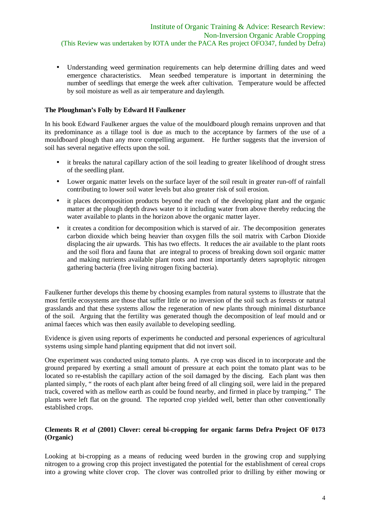• Understanding weed germination requirements can help determine drilling dates and weed emergence characteristics. Mean seedbed temperature is important in determining the number of seedlings that emerge the week after cultivation. Temperature would be affected by soil moisture as well as air temperature and daylength.

# **The Ploughman's Folly by Edward H Faulkener**

In his book Edward Faulkener argues the value of the mouldboard plough remains unproven and that its predominance as a tillage tool is due as much to the acceptance by farmers of the use of a mouldboard plough than any more compelling argument. He further suggests that the inversion of soil has several negative effects upon the soil.

- it breaks the natural capillary action of the soil leading to greater likelihood of drought stress of the seedling plant.
- Lower organic matter levels on the surface layer of the soil result in greater run-off of rainfall contributing to lower soil water levels but also greater risk of soil erosion.
- it places decomposition products beyond the reach of the developing plant and the organic matter at the plough depth draws water to it including water from above thereby reducing the water available to plants in the horizon above the organic matter layer.
- it creates a condition for decomposition which is starved of air. The decomposition generates carbon dioxide which being heavier than oxygen fills the soil matrix with Carbon Dioxide displacing the air upwards. This has two effects. It reduces the air available to the plant roots and the soil flora and fauna that are integral to process of breaking down soil organic matter and making nutrients available plant roots and most importantly deters saprophytic nitrogen gathering bacteria (free living nitrogen fixing bacteria).

Faulkener further develops this theme by choosing examples from natural systems to illustrate that the most fertile ecosystems are those that suffer little or no inversion of the soil such as forests or natural grasslands and that these systems allow the regeneration of new plants through minimal disturbance of the soil. Arguing that the fertility was generated though the decomposition of leaf mould and or animal faeces which was then easily available to developing seedling.

Evidence is given using reports of experiments he conducted and personal experiences of agricultural systems using simple hand planting equipment that did not invert soil.

One experiment was conducted using tomato plants. A rye crop was disced in to incorporate and the ground prepared by exerting a small amount of pressure at each point the tomato plant was to be located so re-establish the capillary action of the soil damaged by the discing. Each plant was then planted simply, " the roots of each plant after being freed of all clinging soil, were laid in the prepared track, covered with as mellow earth as could be found nearby, and firmed in place by tramping." The plants were left flat on the ground. The reported crop yielded well, better than other conventionally established crops.

# **Clements R** *et al* **(2001) Clover: cereal bi-cropping for organic farms Defra Project OF 0173 (Organic)**

Looking at bi-cropping as a means of reducing weed burden in the growing crop and supplying nitrogen to a growing crop this project investigated the potential for the establishment of cereal crops into a growing white clover crop. The clover was controlled prior to drilling by either mowing or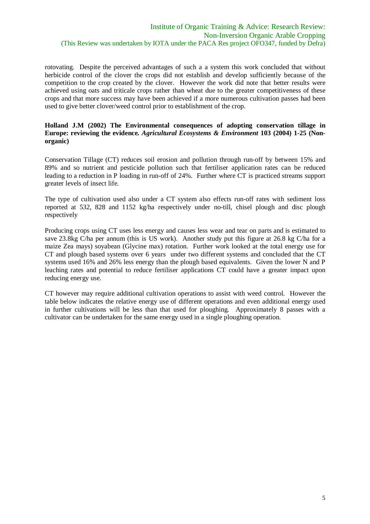rotovating. Despite the perceived advantages of such a a system this work concluded that without herbicide control of the clover the crops did not establish and develop sufficiently because of the competition to the crop created by the clover. However the work did note that better results were achieved using oats and triticale crops rather than wheat due to the greater competitiveness of these crops and that more success may have been achieved if a more numerous cultivation passes had been used to give better clover/weed control prior to establishment of the crop.

#### **Holland J.M (2002) The Environmental consequences of adopting conservation tillage in Europe: reviewing the evidence***. Agricultural Ecosystems & Environment* **103 (2004) 1-25 (Nonorganic)**

Conservation Tillage (CT) reduces soil erosion and pollution through run-off by between 15% and 89% and so nutrient and pesticide pollution such that fertiliser application rates can be reduced leading to a reduction in P loading in run-off of 24%. Further where CT is practiced streams support greater levels of insect life.

The type of cultivation used also under a CT system also effects run-off rates with sediment loss reported at 532, 828 and 1152 kg/ha respectively under no-till, chisel plough and disc plough respectively

Producing crops using CT uses less energy and causes less wear and tear on parts and is estimated to save 23.8kg C/ha per annum (this is US work). Another study put this figure at 26.8 kg C/ha for a maize Zea mays) soyabean (Glycine max) rotation. Further work looked at the total energy use for CT and plough based systems over 6 years under two different systems and concluded that the CT systems used 16% and 26% less energy than the plough based equivalents. Given the lower N and P leaching rates and potential to reduce fertiliser applications CT could have a greater impact upon reducing energy use.

CT however may require additional cultivation operations to assist with weed control. However the table below indicates the relative energy use of different operations and even additional energy used in further cultivations will be less than that used for ploughing. Approximately 8 passes with a cultivator can be undertaken for the same energy used in a single ploughing operation.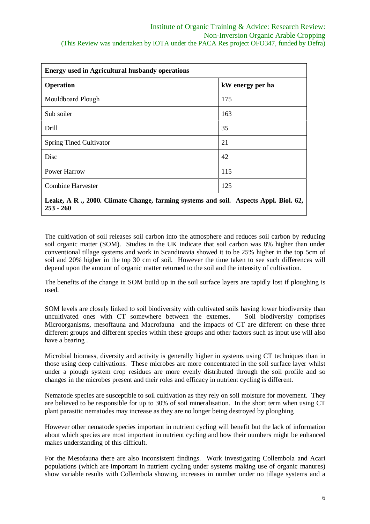| <b>Energy used in Agricultural husbandy operations</b>                                               |                  |
|------------------------------------------------------------------------------------------------------|------------------|
| <b>Operation</b>                                                                                     | kW energy per ha |
| Mouldboard Plough                                                                                    | 175              |
| Sub soiler                                                                                           | 163              |
| Drill                                                                                                | 35               |
| <b>Spring Tined Cultivator</b>                                                                       | 21               |
| Disc                                                                                                 | 42               |
| <b>Power Harrow</b>                                                                                  | 115              |
| Combine Harvester                                                                                    | 125              |
| Leake, A R ., 2000. Climate Change, farming systems and soil. Aspects Appl. Biol. 62,<br>$253 - 260$ |                  |

The cultivation of soil releases soil carbon into the atmosphere and reduces soil carbon by reducing soil organic matter (SOM). Studies in the UK indicate that soil carbon was 8% higher than under conventional tillage systems and work in Scandinavia showed it to be 25% higher in the top 5cm of soil and 20% higher in the top 30 cm of soil. However the time taken to see such differences will depend upon the amount of organic matter returned to the soil and the intensity of cultivation.

The benefits of the change in SOM build up in the soil surface layers are rapidly lost if ploughing is used.

SOM levels are closely linked to soil biodiversity with cultivated soils having lower biodiversity than uncultivated ones with CT somewhere between the extemes. Soil biodiversity comprises Microorganisms, mesoffauna and Macrofauna and the impacts of CT are different on these three different groups and different species within these groups and other factors such as input use will also have a bearing .

Microbial biomass, diversity and activity is generally higher in systems using CT techniques than in those using deep cultivations. These microbes are more concentrated in the soil surface layer whilst under a plough system crop residues are more evenly distributed through the soil profile and so changes in the microbes present and their roles and efficacy in nutrient cycling is different.

Nematode species are susceptible to soil cultivation as they rely on soil moisture for movement. They are believed to be responsible for up to 30% of soil mineralisation. In the short term when using CT plant parasitic nematodes may increase as they are no longer being destroyed by ploughing

However other nematode species important in nutrient cycling will benefit but the lack of information about which species are most important in nutrient cycling and how their numbers might be enhanced makes understanding of this difficult.

For the Mesofauna there are also inconsistent findings. Work investigating Collembola and Acari populations (which are important in nutrient cycling under systems making use of organic manures) show variable results with Collembola showing increases in number under no tillage systems and a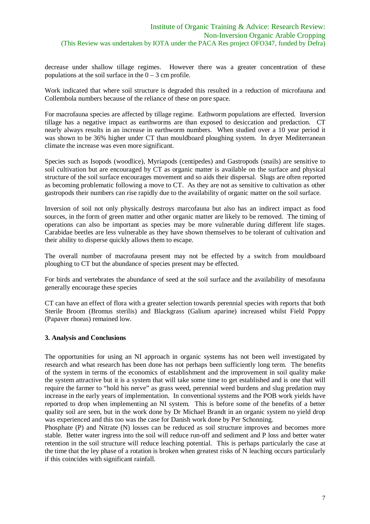decrease under shallow tillage regimes. However there was a greater concentration of these populations at the soil surface in the  $0 - 3$  cm profile.

Work indicated that where soil structure is degraded this resulted in a reduction of microfauna and Collembola numbers because of the reliance of these on pore space.

For macrofauna species are affected by tillage regime. Eathworm populations are effected. Inversion tillage has a negative impact as earthworms are than exposed to desiccation and predaction. CT nearly always results in an increase in earthworm numbers. When studied over a 10 year period it was shown to be 36% higher under CT than mouldboard ploughing system. In dryer Mediterranean climate the increase was even more significant.

Species such as Isopods (woodlice), Myriapods (centipedes) and Gastropods (snails) are sensitive to soil cultivation but are encouraged by CT as organic matter is available on the surface and physical structure of the soil surface encourages movement and so aids their dispersal. Slugs are often reported as becoming problematic following a move to CT. As they are not as sensitive to cultivation as other gastropods their numbers can rise rapidly due to the availability of organic matter on the soil surface.

Inversion of soil not only physically destroys marcofauna but also has an indirect impact as food sources, in the form of green matter and other organic matter are likely to be removed. The timing of operations can also be important as species may be more vulnerable during different life stages. Carabidae beetles are less vulnerable as they have shown themselves to be tolerant of cultivation and their ability to disperse quickly allows them to escape.

The overall number of macrofauna present may not be effected by a switch from mouldboard ploughing to CT but the abundance of species present may be effected.

For birds and vertebrates the abundance of seed at the soil surface and the availability of mesofauna generally encourage these species

CT can have an effect of flora with a greater selection towards perennial species with reports that both Sterile Broom (Bromus sterilis) and Blackgrass (Galium aparine) increased whilst Field Poppy (Papaver rhoeas) remained low.

#### **3. Analysis and Conclusions**

The opportunities for using an NI approach in organic systems has not been well investigated by research and what research has been done has not perhaps been sufficiently long term. The benefits of the system in terms of the economics of establishment and the improvement in soil quality make the system attractive but it is a system that will take some time to get established and is one that will require the farmer to "hold his nerve" as grass weed, perennial weed burdens and slug predation may increase in the early years of implementation. In conventional systems and the POB work yields have reported to drop when implementing an NI system. This is before some of the benefits of a better quality soil are seen, but in the work done by Dr Michael Brandt in an organic system no yield drop was experienced and this too was the case for Danish work done by Per Schonning.

Phosphate (P) and Nitrate (N) losses can be reduced as soil structure improves and becomes more stable. Better water ingress into the soil will reduce run-off and sediment and P loss and better water retention in the soil structure will reduce leaching potential. This is perhaps particularly the case at the time that the ley phase of a rotation is broken when greatest risks of N leaching occurs particularly if this coincides with significant rainfall.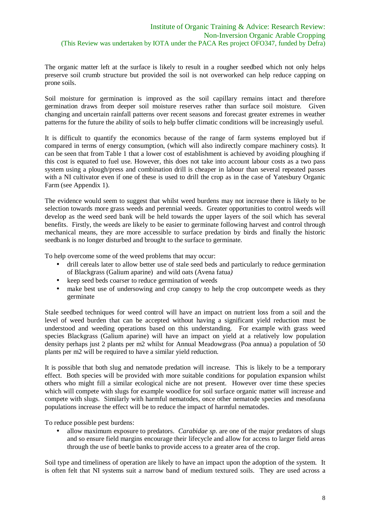The organic matter left at the surface is likely to result in a rougher seedbed which not only helps preserve soil crumb structure but provided the soil is not overworked can help reduce capping on prone soils.

Soil moisture for germination is improved as the soil capillary remains intact and therefore germination draws from deeper soil moisture reserves rather than surface soil moisture. Given changing and uncertain rainfall patterns over recent seasons and forecast greater extremes in weather patterns for the future the ability of soils to help buffer climatic conditions will be increasingly useful.

It is difficult to quantify the economics because of the range of farm systems employed but if compared in terms of energy consumption, (which will also indirectly compare machinery costs). It can be seen that from Table 1 that a lower cost of establishment is achieved by avoiding ploughing if this cost is equated to fuel use. However, this does not take into account labour costs as a two pass system using a plough/press and combination drill is cheaper in labour than several repeated passes with a NI cultivator even if one of these is used to drill the crop as in the case of Yatesbury Organic Farm (see Appendix 1).

The evidence would seem to suggest that whilst weed burdens may not increase there is likely to be selection towards more grass weeds and perennial weeds. Greater opportunities to control weeds will develop as the weed seed bank will be held towards the upper layers of the soil which has several benefits. Firstly, the weeds are likely to be easier to germinate following harvest and control through mechanical means, they are more accessible to surface predation by birds and finally the historic seedbank is no longer disturbed and brought to the surface to germinate.

To help overcome some of the weed problems that may occur:

- drill cereals later to allow better use of stale seed beds and particularly to reduce germination of Blackgrass (Galium aparine) and wild oats (Avena fatua*)*
- keep seed beds coarser to reduce germination of weeds
- make best use of undersowing and crop canopy to help the crop outcompete weeds as they germinate

Stale seedbed techniques for weed control will have an impact on nutrient loss from a soil and the level of weed burden that can be accepted without having a significant yield reduction must be understood and weeding operations based on this understanding. For example with grass weed species Blackgrass (Galium aparine) will have an impact on yield at a relatively low population density perhaps just 2 plants per m2 whilst for Annual Meadowgrass (Poa annua) a population of 50 plants per m2 will be required to have a similar yield reduction.

It is possible that both slug and nematode predation will increase. This is likely to be a temporary effect. Both species will be provided with more suitable conditions for population expansion whilst others who might fill a similar ecological niche are not present. However over time these species which will compete with slugs for example woodlice for soil surface organic matter will increase and compete with slugs. Similarly with harmful nematodes, once other nematode species and mesofauna populations increase the effect will be to reduce the impact of harmful nematodes.

To reduce possible pest burdens:

• allow maximum exposure to predators. *Carabidae sp*. are one of the major predators of slugs and so ensure field margins encourage their lifecycle and allow for access to larger field areas through the use of beetle banks to provide access to a greater area of the crop.

Soil type and timeliness of operation are likely to have an impact upon the adoption of the system. It is often felt that NI systems suit a narrow band of medium textured soils. They are used across a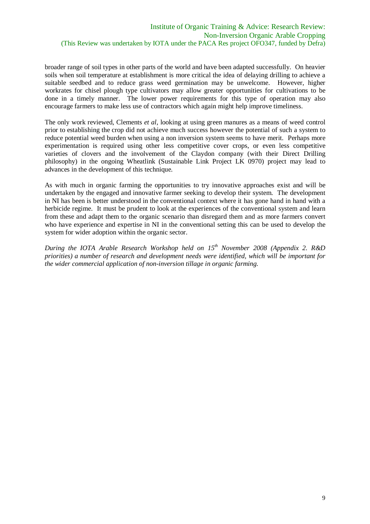broader range of soil types in other parts of the world and have been adapted successfully. On heavier soils when soil temperature at establishment is more critical the idea of delaying drilling to achieve a suitable seedbed and to reduce grass weed germination may be unwelcome. However, higher workrates for chisel plough type cultivators may allow greater opportunities for cultivations to be done in a timely manner. The lower power requirements for this type of operation may also encourage farmers to make less use of contractors which again might help improve timeliness.

The only work reviewed, Clements *et al*, looking at using green manures as a means of weed control prior to establishing the crop did not achieve much success however the potential of such a system to reduce potential weed burden when using a non inversion system seems to have merit. Perhaps more experimentation is required using other less competitive cover crops, or even less competitive varieties of clovers and the involvement of the Claydon company (with their Direct Drilling philosophy) in the ongoing Wheatlink (Sustainable Link Project LK 0970) project may lead to advances in the development of this technique.

As with much in organic farming the opportunities to try innovative approaches exist and will be undertaken by the engaged and innovative farmer seeking to develop their system. The development in NI has been is better understood in the conventional context where it has gone hand in hand with a herbicide regime. It must be prudent to look at the experiences of the conventional system and learn from these and adapt them to the organic scenario than disregard them and as more farmers convert who have experience and expertise in NI in the conventional setting this can be used to develop the system for wider adoption within the organic sector.

*During the IOTA Arable Research Workshop held on 15th November 2008 (Appendix 2. R&D priorities) a number of research and development needs were identified, which will be important for the wider commercial application of non-inversion tillage in organic farming.*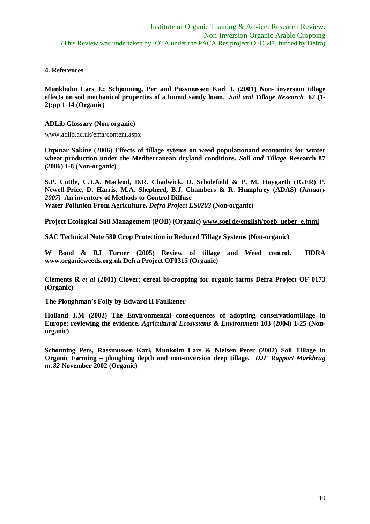## **4. References**

**Munkholm Lars J.; Schjonning, Per and Passmussen Karl J. (2001) Non- inversion tillage effects on soil mechanical properties of a humid sandy loam.** *Soil and Tillage Research* **62 (1- 2):pp 1-14 (Organic)**

**ADLib Glossary (Non-organic)**

www.adlib.ac.uk/ema/content.aspx

**Ozpinar Sakine (2006) Effects of tillage sytems on weed populationand economics for winter wheat production under the Mediterranean dryland conditions.** *Soil and Tillage* **Research 87 (2006) 1-8 (Non-organic)**

**S.P. Cuttle, C.J.A. Macleod, D.R. Chadwick, D. Scholefield & P. M. Haygarth (IGER) P. Newell-Price, D. Harris, M.A. Shepherd, B.J. Chambers & R. Humphrey (ADAS) (***January 2007)* **An inventory of Methods to Control Diffuse Water Pollution From Agriculture.** *Defra Project ES0203* **(Non-organic)**

**Project Ecological Soil Management (POB) (Organic) www.soel.de/english/poeb\_ueber\_e.html**

**SAC Technical Note 580 Crop Protection in Reduced Tillage Systems (Non-organic)**

**W Bond & RJ Turner (2005) Review of tillage and Weed control. HDRA www.organicweeds.org.uk Defra Project OF0315 (Organic)**

**Clements R** *et al* **(2001) Clover: cereal bi-cropping for organic farms Defra Project OF 0173 (Organic)**

**The Ploughman's Folly by Edward H Faulkener**

**Holland J.M (2002) The Environmental consequences of adopting conservationtillage in Europe: reviewing the evidence***. Agricultural Ecosystems & Environment* **103 (2004) 1-25 (Nonorganic)**

**Schonning Pers, Rassmussen Karl, Munkolm Lars & Nielsen Peter (2002) Soil Tillage in Organic Farming – ploughing depth and non-inversion deep tillage.** *DJF Rapport Markbrug nr.82* **November 2002 (Organic)**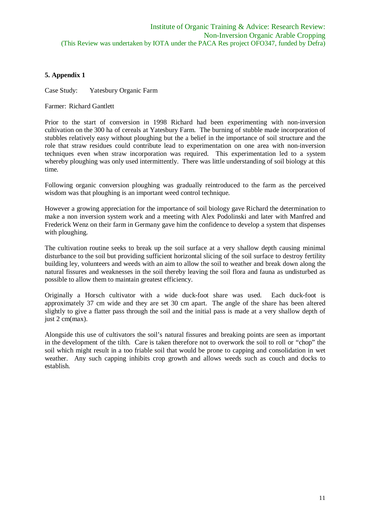# **5. Appendix 1**

Case Study: Yatesbury Organic Farm

Farmer: Richard Gantlett

Prior to the start of conversion in 1998 Richard had been experimenting with non-inversion cultivation on the 300 ha of cereals at Yatesbury Farm. The burning of stubble made incorporation of stubbles relatively easy without ploughing but the a belief in the importance of soil structure and the role that straw residues could contribute lead to experimentation on one area with non-inversion techniques even when straw incorporation was required. This experimentation led to a system whereby ploughing was only used intermittently. There was little understanding of soil biology at this time.

Following organic conversion ploughing was gradually reintroduced to the farm as the perceived wisdom was that ploughing is an important weed control technique.

However a growing appreciation for the importance of soil biology gave Richard the determination to make a non inversion system work and a meeting with Alex Podolinski and later with Manfred and Frederick Wenz on their farm in Germany gave him the confidence to develop a system that dispenses with ploughing.

The cultivation routine seeks to break up the soil surface at a very shallow depth causing minimal disturbance to the soil but providing sufficient horizontal slicing of the soil surface to destroy fertility building ley, volunteers and weeds with an aim to allow the soil to weather and break down along the natural fissures and weaknesses in the soil thereby leaving the soil flora and fauna as undisturbed as possible to allow them to maintain greatest efficiency.

Originally a Horsch cultivator with a wide duck-foot share was used. Each duck-foot is approximately 37 cm wide and they are set 30 cm apart. The angle of the share has been altered slightly to give a flatter pass through the soil and the initial pass is made at a very shallow depth of just 2 cm(max).

Alongside this use of cultivators the soil's natural fissures and breaking points are seen as important in the development of the tilth. Care is taken therefore not to overwork the soil to roll or "chop" the soil which might result in a too friable soil that would be prone to capping and consolidation in wet weather. Any such capping inhibits crop growth and allows weeds such as couch and docks to establish.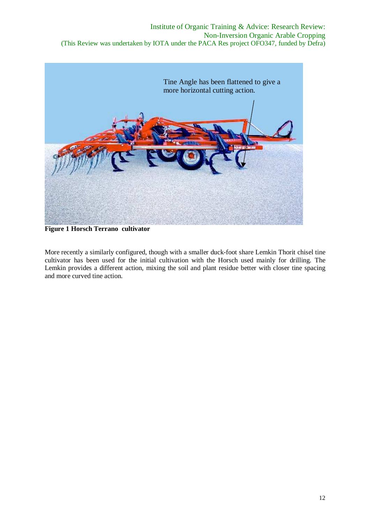

**Figure 1 Horsch Terrano cultivator**

More recently a similarly configured, though with a smaller duck-foot share Lemkin Thorit chisel tine cultivator has been used for the initial cultivation with the Horsch used mainly for drilling. The Lemkin provides a different action, mixing the soil and plant residue better with closer tine spacing and more curved tine action.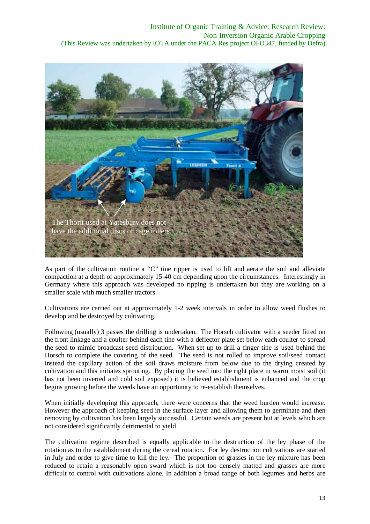

As part of the cultivation routine a "C" tine ripper is used to lift and aerate the soil and alleviate compaction at a depth of approximately 15-40 cm depending upon the circumstances. Interestingly in Germany where this approach was developed no ripping is undertaken but they are working on a smaller scale with much smaller tractors.

Cultivations are carried out at approximately 1-2 week intervals in order to allow weed flushes to develop and be destroyed by cultivating.

Following (usually) 3 passes the drilling is undertaken. The Horsch cultivator with a seeder fitted on the front linkage and a coulter behind each tine with a deflector plate set below each coulter to spread the seed to mimic broadcast seed distribution. When set up to drill a finger tine is used behind the Horsch to complete the covering of the seed. The seed is not rolled to improve soil/seed contact instead the capillary action of the soil draws moisture from below due to the drying created by cultivation and this initiates sprouting. By placing the seed into the right place in warm moist soil (it has not been inverted and cold soil exposed) it is believed establishment is enhanced and the crop begins growing before the weeds have an opportunity to re-establish themselves.

When initially developing this approach, there were concerns that the weed burden would increase. However the approach of keeping seed in the surface layer and allowing them to germinate and then removing by cultivation has been largely successful. Certain weeds are present but at levels which are not considered significantly detrimental to yield

The cultivation regime described is equally applicable to the destruction of the ley phase of the rotation as to the establishment during the cereal rotation. For ley destruction cultivations are started in July and order to give time to kill the ley. The proportion of grasses in the ley mixture has been reduced to retain a reasonably open sward which is not too densely matted and grasses are more difficult to control with cultivations alone. In addition a broad range of both legumes and herbs are